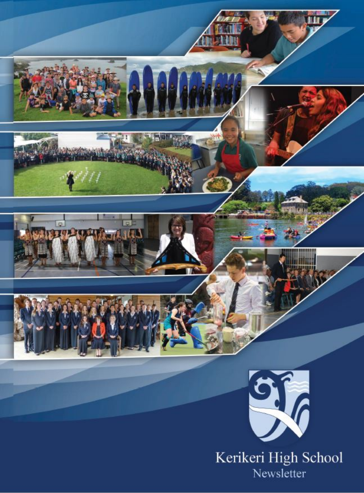

Newsletter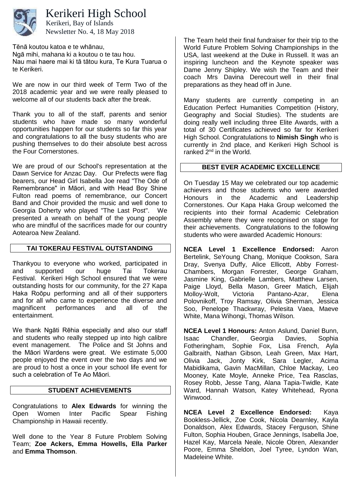

Kerikeri High School

Newsletter No. 4, 18 May 2018 Kerikeri, Bay of Islands

Tēnā koutou katoa e te whānau,

Ngā mihi, mahana ki a koutou o te tau hou. Nau mai haere mai ki tā tātou kura, Te Kura Tuarua o te Kerikeri.

We are now in our third week of Term Two of the 2018 academic year and we were really pleased to welcome all of our students back after the break.

Thank you to all of the staff, parents and senior students who have made so many wonderful opportunities happen for our students so far this year and congratulations to all the busy students who are pushing themselves to do their absolute best across the Four Cornerstones.

We are proud of our School's representation at the Dawn Service for Anzac Day. Our Prefects were flag bearers, our Head Girl Isabella Joe read "The Ode of Remembrance" in Māori, and with Head Boy Shine Fulton read poems of remembrance, our Concert Band and Choir provided the music and well done to Georgia Doherty who played "The Last Post". We presented a wreath on behalf of the young people who are mindful of the sacrifices made for our country Aotearoa New Zealand.

### **TAI TOKERAU FESTIVAL OUTSTANDING**

Thankyou to everyone who worked, participated in and supported our huge Tai Tokerau Festival. Kerikeri High School ensured that we were outstanding hosts for our community, for the 27 Kapa Haka Roōpu performing and all of their supporters and for all who came to experience the diverse and magnificent performances and all of the entertainment.

We thank Ngāti Rēhia especially and also our staff and students who really stepped up into high calibre event management. The Police and St Johns and the Māori Wardens were great. We estimate 5,000 people enjoyed the event over the two days and we are proud to host a once in your school life event for such a celebration of Te Ao Māori.

#### **STUDENT ACHIEVEMENTS**

Congratulations to **Alex Edwards** for winning the Open Women Inter Pacific Spear Fishing Championship in Hawaii recently.

Well done to the Year 8 Future Problem Solving Team; **Zoe Ackers, Emma Howells, Ella Parker** and **Emma Thomson**.

The Team held their final fundraiser for their trip to the World Future Problem Solving Championships in the USA, last weekend at the Duke in Russell. It was an inspiring luncheon and the Keynote speaker was Dame Jenny Shipley. We wish the Team and their coach Mrs Davina Derecourt well in their final preparations as they head off in June.

Many students are currently competing in an Education Perfect Humanities Competition (History, Geography and Social Studies). The students are doing really well including three Elite Awards, with a total of 30 Certificates achieved so far for Kerikeri High School. Congratulations to **Nimish Singh** who is currently in 2nd place, and Kerikeri High School is ranked  $2<sup>nd</sup>$  in the World.

#### **BEST EVER ACADEMIC EXCELLENCE**

On Tuesday 15 May we celebrated our top academic achievers and those students who were awarded Honours in the Academic and Leadership Cornerstones. Our Kapa Haka Group welcomed the recipients into their formal Academic Celebration Assembly where they were recognised on stage for their achievements. Congratulations to the following students who were awarded Academic Honours:

**NCEA Level 1 Excellence Endorsed:** Aaron Bertelink, SeYoung Chang, Monique Cookson, Sara Dray, Svenya Duffy, Alice Ellicott, Abby Forrest-Chambers, Morgan Forrester, George Graham, Jasmine King, Gabrielle Lambers, Matthew Larsen, Paige Lloyd, Bella Mason, Greer Matich, Elijah Molloy-Wolt, Victoria Pantano-Azar, Elena Polovnikoff, Troy Ramsay, Olivia Sherman, Jessica Soo, Penelope Thackwray, Pelesita Vaea, Maeve White, Mana Wihongi, Thomas Wilson.

**NCEA Level 1 Honours:** Anton Aslund, Daniel Bunn, Isaac Chandler, Georgia Davies, Sophia Fotheringham, Sophie Fox, Lisa French, Ayla Galbraith, Nathan Gibson, Leah Green, Max Hart, Olivia Jack, Jonty Kirk, Sara Legler, Acima Mabidikama, Gavin MacMillan, Chloe Mackay, Leo Mooney, Kate Moyle, Anneke Price, Tea Rasclas, Rosey Robb, Jesse Tang, Alana Tapia-Twidle, Kate Ward, Hannah Watson, Katey Whitehead, Ryona Winwood.

**NCEA Level 2 Excellence Endorsed:** Kaya Bookless-Jellick, Zoe Cook, Nicola Dearnley, Kayla Donaldson, Alex Edwards, Stacey Ferguson, Shine Fulton, Sophia Houben, Grace Jennings, Isabella Joe, Hazel Kay, Marcela Neale, Nicole Obren, Alexander Poore, Emma Sheldon, Joel Tyree, Lyndon Wan, Madeleine White.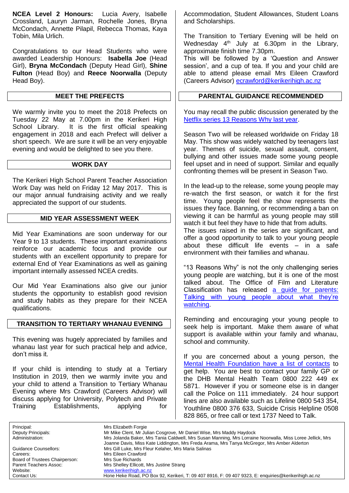**NCEA Level 2 Honours:** Lucia Avery, Isabelle Crossland, Lauryn Jarman, Rochelle Jones, Bryna McCondach, Annette Pilapil, Rebecca Thomas, Kaya Tobin, Mila Urlich.

Congratulations to our Head Students who were awarded Leadership Honours: **Isabella Joe** (Head Girl), **Bryna McCondach** (Deputy Head Girl), **Shine Fulton** (Head Boy) and **Reece Noorwalla** (Deputy Head Boy).

#### **MEET THE PREFECTS**

We warmly invite you to meet the 2018 Prefects on Tuesday 22 May at 7.00pm in the Kerikeri High School Library. It is the first official speaking engagement in 2018 and each Prefect will deliver a short speech. We are sure it will be an very enjoyable evening and would be delighted to see you there.

#### **WORK DAY**

The Kerikeri High School Parent Teacher Association Work Day was held on Friday 12 May 2017. This is our major annual fundraising activity and we really appreciated the support of our students.

#### **MID YEAR ASSESSMENT WEEK**

Mid Year Examinations are soon underway for our Year 9 to 13 students. These important examinations reinforce our academic focus and provide our students with an excellent opportunity to prepare for external End of Year Examinations as well as gaining important internally assessed NCEA credits.

Our Mid Year Examinations also give our junior students the opportunity to establish good revision and study habits as they prepare for their NCEA qualifications.

#### **TRANSITION TO TERTIARY WHANAU EVENING**

This evening was hugely appreciated by families and whanau last year for such practical help and advice, don't miss it.

If your child is intending to study at a Tertiary Institution in 2019, then we warmly invite you and your child to attend a Transition to Tertiary Whanau Evening where Mrs Crawford (Careers Advisor) will discuss applying for University, Polytech and Private Training Establishments, applying for

Accommodation, Student Allowances, Student Loans and Scholarships.

The Transition to Tertiary Evening will be held on Wednesday  $4<sup>th</sup>$  July at 6.30pm in the Library, approximate finish time 7.30pm.

This will be followed by a 'Question and Answer session', and a cup of tea. If you and your child are able to attend please email Mrs Eileen Crawford (Careers Advisor) [ecrawford@kerikerihigh.ac.nz](mailto:ecrawford@kerikerihigh.ac.nz)

#### **PARENTAL GUIDANCE RECOMMENDED**

You may recall the public discussion generated by the [Netflix series 13 Reasons Why last year.](https://www.nzherald.co.nz/lifestyle/news/article.cfm?c_id=6&objectid=11849071)

Season Two will be released worldwide on Friday 18 May. This show was widely watched by teenagers last year. Themes of suicide, sexual assault, consent, bullying and other issues made some young people feel upset and in need of support. Similar and equally confronting themes will be present in Season Two.

In the lead-up to the release, some young people may re-watch the first season, or watch it for the first time. Young people feel the show represents the issues they face. Banning, or recommending a ban on viewing it can be harmful as young people may still watch it but feel they have to hide that from adults. The issues raised in the series are significant, and offer a good opportunity to talk to your young people

about these difficult life events – in a safe environment with their families and whanau.

"13 Reasons Why" is not the only challenging series young people are watching, but it is one of the most talked about. The Office of Film and Literature Classification has released a guide for parents: [Talking with young people about what they're](https://www.classificationoffice.govt.nz/news/latest-news/challenging-media/)  [watching.](https://www.classificationoffice.govt.nz/news/latest-news/challenging-media/)

Reminding and encouraging your young people to seek help is important. Make them aware of what support is available within your family and whanau, school and community.

If you are concerned about a young person, the [Mental Health Foundation have a list of contacts](https://www.mentalhealth.org.nz/get-help/in-crisis/) to get help. You are best to contact your family GP or the DHB Mental Health Team 0800 222 449 ex 5871. However if you or someone else is in danger call the Police on 111 immediately. 24 hour support lines are also available such as Lifeline 0800 543 354, Youthline 0800 376 633, Suicide Crisis Helpline 0508 828 865, or free call or text 1737 Need to Talk.

Principal: Mrs Elizabeth Forgie<br>
Deputy Principals: Mr Mike Clent, Mr Jul

Board of Trustees Chairperson: Mrs Sue Richards Website: [www.kerikerihigh.ac.nz](http://www.kerikerihigh.ac.nz/)<br>Contact Us: Contact Us: Contact Us: Contact Us:

Deputy Principals: Mr Mike Clent, Mr Julian Cosgrove, Mr Daniel Wise, Mrs Maddy Haydock Mrs Jolanda Baker, Mrs Tania Caldwell, Mrs Susan Manning, Mrs Lorraine Noorwalla, Miss Loree Jellick, Mrs Joanne Davis, Miss Kate Liddington, Mrs Freda Arama, Mrs Tanya McGregor, Mrs Amber Alderton Guidance Counsellors: Mrs Gill Luke, Mrs Fleur Kelaher, Mrs Maria Salinas<br>Careers: Mrs Fileen Crawford Mrs Eileen Crawford Parent Teachers Assoc: Mrs Shelley Ellicott, Mrs Justine Strang<br>
Website: Website: Website: Www.kerikerihigh.ac.nz Hone Heke Road, PO Box 92, Kerikeri, T: 09 407 8916, F: 09 407 9323, E: enquiries@kerikerihigh.ac.nz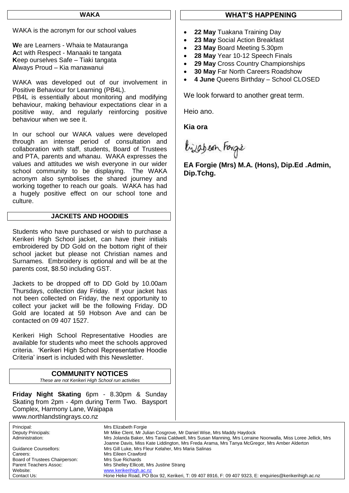#### **WAKA**

WAKA is the acronym for our school values

**W**e are Learners - Whaia te Matauranga **A**ct with Respect - Manaaki te tangata **K**eep ourselves Safe – Tiaki tangata **A**lways Proud – Kia manawanui

WAKA was developed out of our involvement in Positive Behaviour for Learning (PB4L). PB4L is essentially about monitoring and modifying behaviour, making behaviour expectations clear in a

positive way, and regularly reinforcing positive behaviour when we see it.

In our school our WAKA values were developed through an intense period of consultation and collaboration with staff, students, Board of Trustees and PTA, parents and whanau. WAKA expresses the values and attitudes we wish everyone in our wider school community to be displaying. The WAKA acronym also symbolises the shared journey and working together to reach our goals. WAKA has had a hugely positive effect on our school tone and culture.

#### **JACKETS AND HOODIES**

Students who have purchased or wish to purchase a Kerikeri High School jacket, can have their initials embroidered by DD Gold on the bottom right of their school jacket but please not Christian names and Surnames. Embroidery is optional and will be at the parents cost, \$8.50 including GST.

Jackets to be dropped off to DD Gold by 10.00am Thursdays, collection day Friday. If your jacket has not been collected on Friday, the next opportunity to collect your jacket will be the following Friday. DD Gold are located at 59 Hobson Ave and can be contacted on 09 407 1527.

Kerikeri High School Representative Hoodies are available for students who meet the schools approved criteria. 'Kerikeri High School Representative Hoodie Criteria' insert is included with this Newsletter.

#### **COMMUNITY NOTICES** *These are not Kerikeri High School run activities*

**Friday Night Skating** 6pm - 8.30pm & Sunday Skating from 2pm - 4pm during Term Two. Baysport Complex, Harmony Lane, Waipapa [www.northlandstingrays.co.nz](http://www.northlandstingrays.co.nz/)

Principal: Mrs Elizabeth Forgie<br>
Deputy Principals: Mr Mike Clent, Mr Ju Deputy Principals: Mr Mike Clent, Mr Julian Cosgrove, Mr Daniel Wise, Mrs Maddy Haydock Administration: Mrs Jolanda Baker, Mrs Tania Caldwell, Mrs Susan Manning, Mrs Lorraine Noorwalla, Miss Loree Jellick, Mrs Joanne Davis, Miss Kate Liddington, Mrs Freda Arama, Mrs Tanya McGregor, Mrs Amber Alderton Guidance Counsellors: Mrs Gill Luke, Mrs Fleur Kelaher, Mrs Maria Salinas<br>Careers: Mrs Fileen Crawford Mrs Eileen Crawford Board of Trustees Chairperson: Mrs Sue Richards Parent Teachers Assoc: Mrs Shelley Ellicott, Mrs Justine Strang<br>Website: Website: Website: Www.kerikerihigh.ac.nz Website: [www.kerikerihigh.ac.nz](http://www.kerikerihigh.ac.nz/)<br>Contact Us: Contact Us: Contact Us: Contact Us: Contact Us: Contact Us: Contact Us: Contact Us: Contact Us: Co Hone Heke Road, PO Box 92, Kerikeri, T: 09 407 8916, F: 09 407 9323, E: enquiries@kerikerihigh.ac.nz

#### **WHAT'S HAPPENING**

- **22 May** Tuakana Training Day
- **23 May** Social Action Breakfast
- **23 May** Board Meeting 5.30pm
- **28 May** Year 10-12 Speech Finals
- **29 May** Cross Country Championships
- **30 May** Far North Careers Roadshow
- **4 June** Queens Birthday School CLOSED

We look forward to another great term.

Heio ano.

**Kia ora**

bijabean Forgie

**EA Forgie (Mrs) M.A. (Hons), Dip.Ed .Admin, Dip.Tchg.**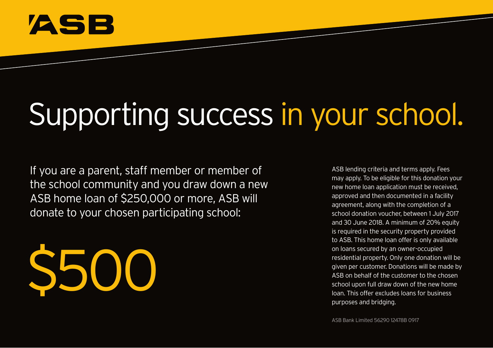

# Supporting success in your school.

If you are a parent, staff member or member of the school community and you draw down a new ASB home loan of \$250,000 or more, ASB will donate to your chosen participating school:

\$500

ASB lending criteria and terms apply. Fees may apply. To be eligible for this donation your new home loan application must be received, approved and then documented in a facility agreement, along with the completion of a school donation voucher, between 1 July 2017 and 30 June 2018. A minimum of 20% equity is required in the security property provided to ASB. This home loan offer is only available on loans secured by an owner-occupied residential property. Only one donation will be given per customer. Donations will be made by ASB on behalf of the customer to the chosen school upon full draw down of the new home loan. This offer excludes loans for business purposes and bridging.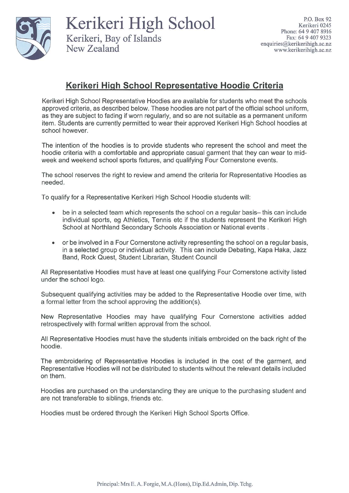

Kerikeri High School Kerikeri, Bay of Islands New Zealand

## Kerikeri High School Representative Hoodie Criteria

Kerikeri High School Representative Hoodies are available for students who meet the schools approved criteria, as described below. These hoodies are not part of the official school uniform. as they are subject to fading if worn regularly, and so are not suitable as a permanent uniform item. Students are currently permitted to wear their approved Kerikeri High School hoodies at school however.

The intention of the hoodies is to provide students who represent the school and meet the hoodie criteria with a comfortable and appropriate casual garment that they can wear to midweek and weekend school sports fixtures, and qualifying Four Cornerstone events.

The school reserves the right to review and amend the criteria for Representative Hoodies as needed.

To qualify for a Representative Kerikeri High School Hoodie students will:

- be in a selected team which represents the school on a regular basis- this can include  $\bullet$ individual sports, eg Athletics, Tennis etc if the students represent the Kerikeri High School at Northland Secondary Schools Association or National events.
- or be involved in a Four Cornerstone activity representing the school on a regular basis, in a selected group or individual activity. This can include Debating, Kapa Haka, Jazz Band, Rock Quest, Student Librarian, Student Council

All Representative Hoodies must have at least one qualifying Four Cornerstone activity listed under the school logo.

Subsequent qualifying activities may be added to the Representative Hoodie over time, with a formal letter from the school approving the addition(s).

New Representative Hoodies may have qualifying Four Cornerstone activities added retrospectively with formal written approval from the school.

All Representative Hoodies must have the students initials embroided on the back right of the hoodie.

The embroidering of Representative Hoodies is included in the cost of the garment, and Representative Hoodies will not be distributed to students without the relevant details included on them.

Hoodies are purchased on the understanding they are unique to the purchasing student and are not transferable to siblings, friends etc.

Hoodies must be ordered through the Kerikeri High School Sports Office.